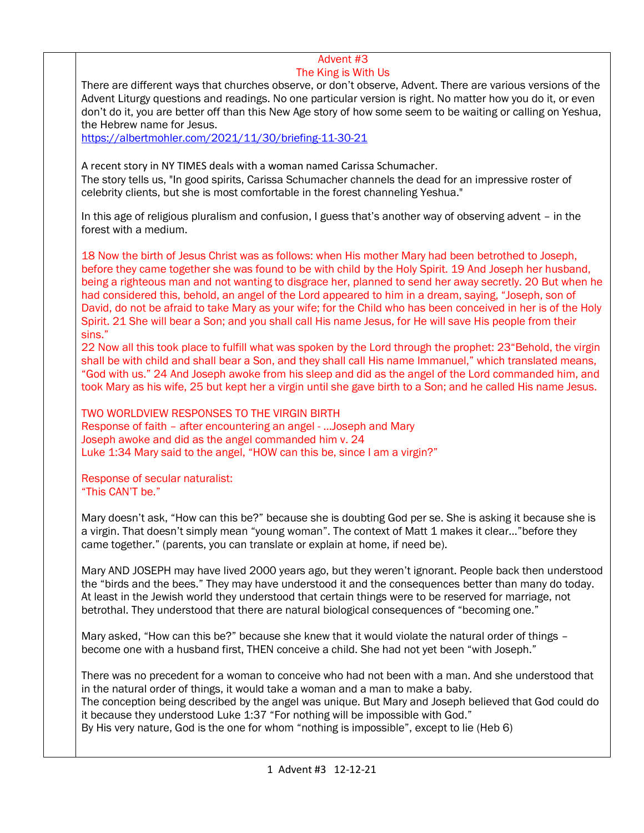## Advent #3 The King is With Us

There are different ways that churches observe, or don't observe, Advent. There are various versions of the Advent Liturgy questions and readings. No one particular version is right. No matter how you do it, or even don't do it, you are better off than this New Age story of how some seem to be waiting or calling on Yeshua, the Hebrew name for Jesus.

<https://albertmohler.com/2021/11/30/briefing-11-30-21>

A recent story in NY TIMES deals with a woman named Carissa Schumacher. The story tells us, "In good spirits, Carissa Schumacher channels the dead for an impressive roster of celebrity clients, but she is most comfortable in the forest channeling Yeshua."

In this age of religious pluralism and confusion, I guess that's another way of observing advent – in the forest with a medium.

18 Now the birth of Jesus Christ was as follows: when His mother Mary had been betrothed to Joseph, before they came together she was found to be with child by the Holy Spirit. 19 And Joseph her husband, being a righteous man and not wanting to disgrace her, planned to send her away secretly. 20 But when he had considered this, behold, an angel of the Lord appeared to him in a dream, saying, "Joseph, son of David, do not be afraid to take Mary as your wife; for the Child who has been conceived in her is of the Holy Spirit. 21 She will bear a Son; and you shall call His name Jesus, for He will save His people from their sins."

22 Now all this took place to fulfill what was spoken by the Lord through the prophet: 23"Behold, the virgin shall be with child and shall bear a Son, and they shall call His name Immanuel," which translated means, "God with us." 24 And Joseph awoke from his sleep and did as the angel of the Lord commanded him, and took Mary as his wife, 25 but kept her a virgin until she gave birth to a Son; and he called His name Jesus.

TWO WORLDVIEW RESPONSES TO THE VIRGIN BIRTH Response of faith – after encountering an angel - …Joseph and Mary Joseph awoke and did as the angel commanded him v. 24 Luke 1:34 Mary said to the angel, "HOW can this be, since I am a virgin?"

Response of secular naturalist: "This CAN'T be."

Mary doesn't ask, "How can this be?" because she is doubting God per se. She is asking it because she is a virgin. That doesn't simply mean "young woman". The context of Matt 1 makes it clear…"before they came together." (parents, you can translate or explain at home, if need be).

Mary AND JOSEPH may have lived 2000 years ago, but they weren't ignorant. People back then understood the "birds and the bees." They may have understood it and the consequences better than many do today. At least in the Jewish world they understood that certain things were to be reserved for marriage, not betrothal. They understood that there are natural biological consequences of "becoming one."

Mary asked, "How can this be?" because she knew that it would violate the natural order of things become one with a husband first, THEN conceive a child. She had not yet been "with Joseph."

There was no precedent for a woman to conceive who had not been with a man. And she understood that in the natural order of things, it would take a woman and a man to make a baby. The conception being described by the angel was unique. But Mary and Joseph believed that God could do it because they understood Luke 1:37 "For nothing will be impossible with God." By His very nature, God is the one for whom "nothing is impossible", except to lie (Heb 6)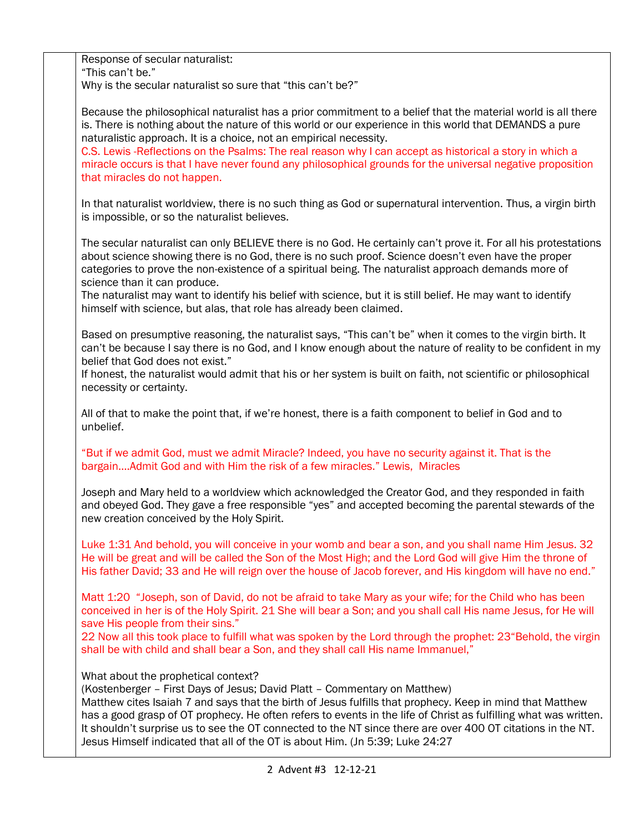| Response of secular naturalist:<br>"This can't be."                                                                                                                                                                                                                                                                                                                                                                                                                                                                                                     |
|---------------------------------------------------------------------------------------------------------------------------------------------------------------------------------------------------------------------------------------------------------------------------------------------------------------------------------------------------------------------------------------------------------------------------------------------------------------------------------------------------------------------------------------------------------|
| Why is the secular naturalist so sure that "this can't be?"                                                                                                                                                                                                                                                                                                                                                                                                                                                                                             |
| Because the philosophical naturalist has a prior commitment to a belief that the material world is all there<br>is. There is nothing about the nature of this world or our experience in this world that DEMANDS a pure<br>naturalistic approach. It is a choice, not an empirical necessity.<br>C.S. Lewis -Reflections on the Psalms: The real reason why I can accept as historical a story in which a<br>miracle occurs is that I have never found any philosophical grounds for the universal negative proposition<br>that miracles do not happen. |
| In that naturalist worldview, there is no such thing as God or supernatural intervention. Thus, a virgin birth<br>is impossible, or so the naturalist believes.                                                                                                                                                                                                                                                                                                                                                                                         |
| The secular naturalist can only BELIEVE there is no God. He certainly can't prove it. For all his protestations<br>about science showing there is no God, there is no such proof. Science doesn't even have the proper<br>categories to prove the non-existence of a spiritual being. The naturalist approach demands more of<br>science than it can produce.                                                                                                                                                                                           |
| The naturalist may want to identify his belief with science, but it is still belief. He may want to identify<br>himself with science, but alas, that role has already been claimed.                                                                                                                                                                                                                                                                                                                                                                     |
| Based on presumptive reasoning, the naturalist says, "This can't be" when it comes to the virgin birth. It<br>can't be because I say there is no God, and I know enough about the nature of reality to be confident in my<br>belief that God does not exist."                                                                                                                                                                                                                                                                                           |
| If honest, the naturalist would admit that his or her system is built on faith, not scientific or philosophical<br>necessity or certainty.                                                                                                                                                                                                                                                                                                                                                                                                              |
| All of that to make the point that, if we're honest, there is a faith component to belief in God and to<br>unbelief.                                                                                                                                                                                                                                                                                                                                                                                                                                    |
| "But if we admit God, must we admit Miracle? Indeed, you have no security against it. That is the<br>bargainAdmit God and with Him the risk of a few miracles." Lewis, Miracles                                                                                                                                                                                                                                                                                                                                                                         |
| Joseph and Mary held to a worldview which acknowledged the Creator God, and they responded in faith<br>and obeyed God. They gave a free responsible "yes" and accepted becoming the parental stewards of the<br>new creation conceived by the Holy Spirit.                                                                                                                                                                                                                                                                                              |
| Luke 1:31 And behold, you will conceive in your womb and bear a son, and you shall name Him Jesus. 32<br>He will be great and will be called the Son of the Most High; and the Lord God will give Him the throne of<br>His father David; 33 and He will reign over the house of Jacob forever, and His kingdom will have no end."                                                                                                                                                                                                                       |
| Matt 1:20 "Joseph, son of David, do not be afraid to take Mary as your wife; for the Child who has been<br>conceived in her is of the Holy Spirit. 21 She will bear a Son; and you shall call His name Jesus, for He will<br>save His people from their sins."                                                                                                                                                                                                                                                                                          |
| 22 Now all this took place to fulfill what was spoken by the Lord through the prophet: 23"Behold, the virgin<br>shall be with child and shall bear a Son, and they shall call His name Immanuel,"                                                                                                                                                                                                                                                                                                                                                       |
| What about the prophetical context?                                                                                                                                                                                                                                                                                                                                                                                                                                                                                                                     |
| (Kostenberger - First Days of Jesus; David Platt - Commentary on Matthew)<br>Matthew cites Isaiah 7 and says that the birth of Jesus fulfills that prophecy. Keep in mind that Matthew<br>has a good grasp of OT prophecy. He often refers to events in the life of Christ as fulfilling what was written.<br>It shouldn't surprise us to see the OT connected to the NT since there are over 400 OT citations in the NT.<br>Jesus Himself indicated that all of the OT is about Him. (Jn 5:39; Luke 24:27                                              |
|                                                                                                                                                                                                                                                                                                                                                                                                                                                                                                                                                         |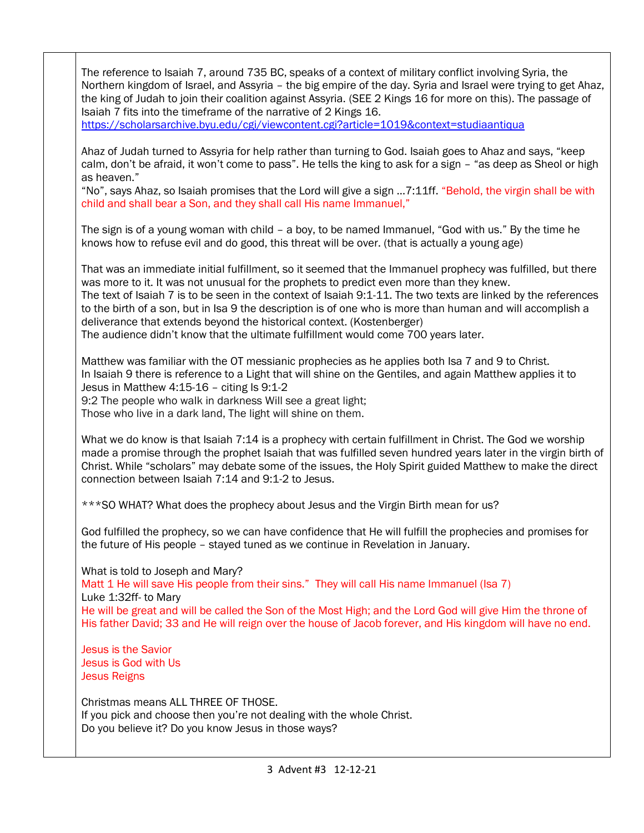The reference to Isaiah 7, around 735 BC, speaks of a context of military conflict involving Syria, the Northern kingdom of Israel, and Assyria – the big empire of the day. Syria and Israel were trying to get Ahaz, the king of Judah to join their coalition against Assyria. (SEE 2 Kings 16 for more on this). The passage of Isaiah 7 fits into the timeframe of the narrative of 2 Kings 16. <https://scholarsarchive.byu.edu/cgi/viewcontent.cgi?article=1019&context=studiaantiqua> Ahaz of Judah turned to Assyria for help rather than turning to God. Isaiah goes to Ahaz and says, "keep calm, don't be afraid, it won't come to pass". He tells the king to ask for a sign – "as deep as Sheol or high as heaven." "No", says Ahaz, so Isaiah promises that the Lord will give a sign …7:11ff. "Behold, the virgin shall be with child and shall bear a Son, and they shall call His name Immanuel," The sign is of a young woman with child – a boy, to be named Immanuel, "God with us." By the time he knows how to refuse evil and do good, this threat will be over. (that is actually a young age) That was an immediate initial fulfillment, so it seemed that the Immanuel prophecy was fulfilled, but there was more to it. It was not unusual for the prophets to predict even more than they knew. The text of Isaiah 7 is to be seen in the context of Isaiah 9:1-11. The two texts are linked by the references to the birth of a son, but in Isa 9 the description is of one who is more than human and will accomplish a deliverance that extends beyond the historical context. (Kostenberger) The audience didn't know that the ultimate fulfillment would come 700 years later. Matthew was familiar with the OT messianic prophecies as he applies both Isa 7 and 9 to Christ. In Isaiah 9 there is reference to a Light that will shine on the Gentiles, and again Matthew applies it to Jesus in Matthew 4:15-16 - citing Is 9:1-2 9:2 The people who walk in darkness Will see a great light; Those who live in a dark land, The light will shine on them. What we do know is that Isaiah 7:14 is a prophecy with certain fulfillment in Christ. The God we worship made a promise through the prophet Isaiah that was fulfilled seven hundred years later in the virgin birth of Christ. While "scholars" may debate some of the issues, the Holy Spirit guided Matthew to make the direct connection between Isaiah 7:14 and 9:1-2 to Jesus. \*\*\*SO WHAT? What does the prophecy about Jesus and the Virgin Birth mean for us? God fulfilled the prophecy, so we can have confidence that He will fulfill the prophecies and promises for the future of His people – stayed tuned as we continue in Revelation in January. What is told to Joseph and Mary? Matt 1 He will save His people from their sins." They will call His name Immanuel (Isa 7) Luke 1:32ff- to Mary He will be great and will be called the Son of the Most High; and the Lord God will give Him the throne of His father David; 33 and He will reign over the house of Jacob forever, and His kingdom will have no end. Jesus is the Savior Jesus is God with Us Jesus Reigns Christmas means ALL THREE OF THOSE. If you pick and choose then you're not dealing with the whole Christ. Do you believe it? Do you know Jesus in those ways?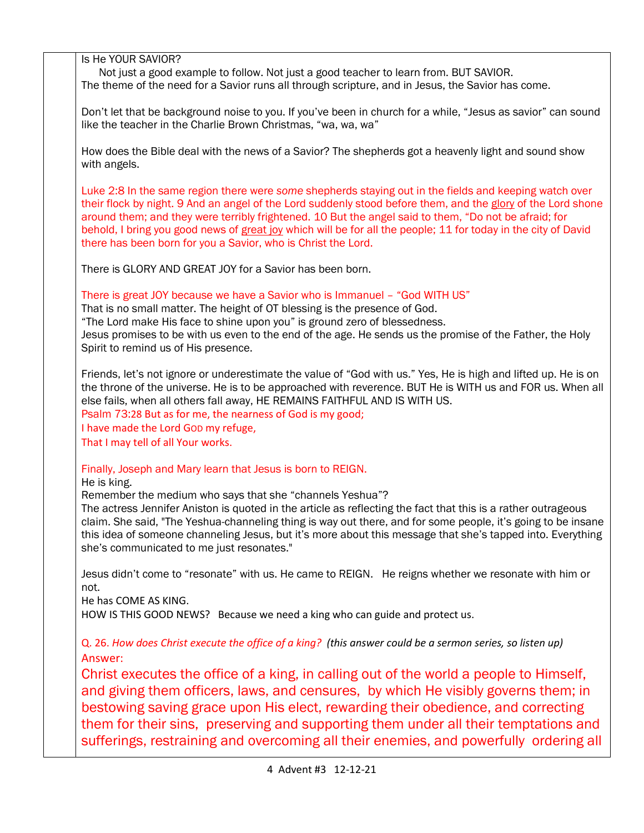Is He YOUR SAVIOR? Not just a good example to follow. Not just a good teacher to learn from. BUT SAVIOR. The theme of the need for a Savior runs all through scripture, and in Jesus, the Savior has come. Don't let that be background noise to you. If you've been in church for a while, "Jesus as savior" can sound like the teacher in the Charlie Brown Christmas, "wa, wa, wa" How does the Bible deal with the news of a Savior? The shepherds got a heavenly light and sound show with angels. Luke 2:8 In the same region there were *some* shepherds staying out in the fields and keeping watch over their flock by night. 9 And an angel of the Lord suddenly stood before them, and the glory of the Lord shone around them; and they were terribly frightened. 10 But the angel said to them, "Do not be afraid; for behold, I bring you good news of great joy which will be for all the people; 11 for today in the city of David there has been born for you a Savior, who is Christ the Lord. There is GLORY AND GREAT JOY for a Savior has been born. There is great JOY because we have a Savior who is Immanuel – "God WITH US" That is no small matter. The height of OT blessing is the presence of God. "The Lord make His face to shine upon you" is ground zero of blessedness. Jesus promises to be with us even to the end of the age. He sends us the promise of the Father, the Holy Spirit to remind us of His presence. Friends, let's not ignore or underestimate the value of "God with us." Yes, He is high and lifted up. He is on the throne of the universe. He is to be approached with reverence. BUT He is WITH us and FOR us. When all else fails, when all others fall away, HE REMAINS FAITHFUL AND IS WITH US. Psalm 73:28 But as for me, the nearness of God is my good; I have made the Lord GOD my refuge, That I may tell of all Your works. Finally, Joseph and Mary learn that Jesus is born to REIGN. He is king. Remember the medium who says that she "channels Yeshua"? The actress Jennifer Aniston is quoted in the article as reflecting the fact that this is a rather outrageous claim. She said, "The Yeshua-channeling thing is way out there, and for some people, it's going to be insane this idea of someone channeling Jesus, but it's more about this message that she's tapped into. Everything she's communicated to me just resonates." Jesus didn't come to "resonate" with us. He came to REIGN. He reigns whether we resonate with him or not. He has COME AS KING. HOW IS THIS GOOD NEWS? Because we need a king who can guide and protect us. Q. 26. *How does Christ execute the office of a king? (this answer could be a sermon series, so listen up)* Answer: Christ executes the office of a king, in calling out of the world a people to Himself, and giving them officers, laws, and censures, by which He visibly governs them; in bestowing saving grace upon His elect, rewarding their obedience, and correcting them for their sins, preserving and supporting them under all their temptations and sufferings, restraining and overcoming all their enemies, and powerfully ordering all